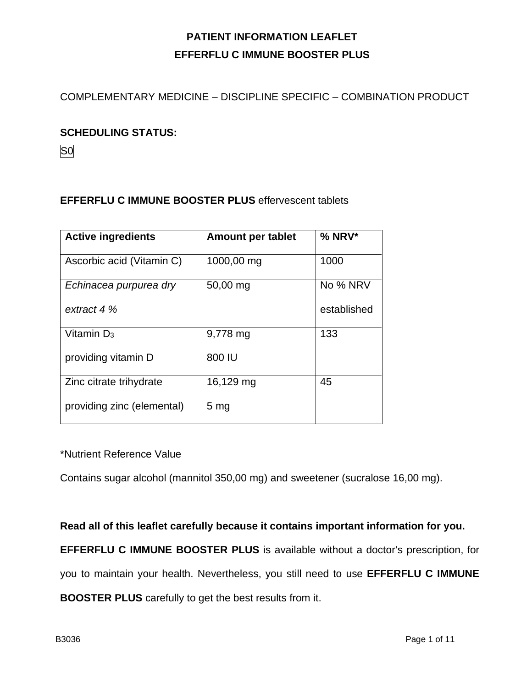COMPLEMENTARY MEDICINE – DISCIPLINE SPECIFIC – COMBINATION PRODUCT

#### **SCHEDULING STATUS:**

S0

### **EFFERFLU C IMMUNE BOOSTER PLUS** effervescent tablets

| <b>Active ingredients</b>  | <b>Amount per tablet</b> | $%$ NRV*    |
|----------------------------|--------------------------|-------------|
| Ascorbic acid (Vitamin C)  | 1000,00 mg               | 1000        |
| Echinacea purpurea dry     | 50,00 mg                 | No % NRV    |
| extract 4 %                |                          | established |
| Vitamin $D_3$              | 9,778 mg                 | 133         |
| providing vitamin D        | 800 IU                   |             |
| Zinc citrate trihydrate    | 16,129 mg                | 45          |
| providing zinc (elemental) | 5 <sub>mg</sub>          |             |

#### \*Nutrient Reference Value

Contains sugar alcohol (mannitol 350,00 mg) and sweetener (sucralose 16,00 mg).

**Read all of this leaflet carefully because it contains important information for you.**

**EFFERFLU C IMMUNE BOOSTER PLUS** is available without a doctor's prescription, for

you to maintain your health. Nevertheless, you still need to use **EFFERFLU C IMMUNE** 

**BOOSTER PLUS** carefully to get the best results from it.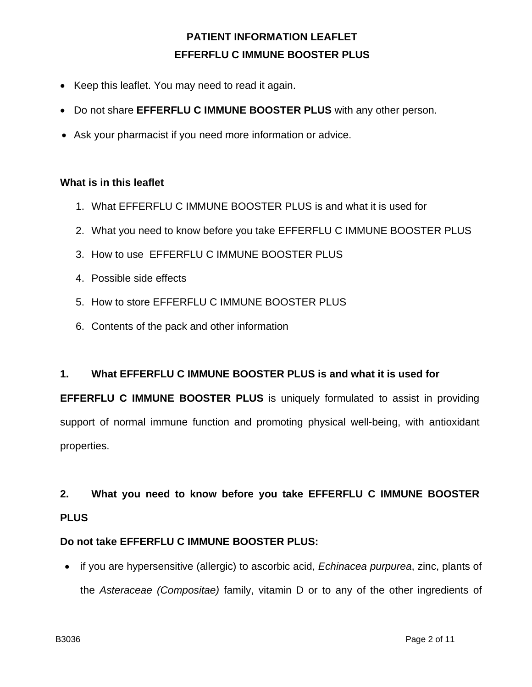- Keep this leaflet. You may need to read it again.
- Do not share **EFFERFLU C IMMUNE BOOSTER PLUS** with any other person.
- Ask your pharmacist if you need more information or advice.

#### **What is in this leaflet**

- 1. What EFFERFLU C IMMUNE BOOSTER PLUS is and what it is used for
- 2. What you need to know before you take EFFERFLU C IMMUNE BOOSTER PLUS
- 3. How to use EFFERFLU C IMMUNE BOOSTER PLUS
- 4. Possible side effects
- 5. How to store EFFERFLU C IMMUNE BOOSTER PLUS
- 6. Contents of the pack and other information

#### **1. What EFFERFLU C IMMUNE BOOSTER PLUS is and what it is used for**

**EFFERFLU C IMMUNE BOOSTER PLUS** is uniquely formulated to assist in providing support of normal immune function and promoting physical well-being, with antioxidant properties.

# **2. What you need to know before you take EFFERFLU C IMMUNE BOOSTER PLUS**

### **Do not take EFFERFLU C IMMUNE BOOSTER PLUS:**

• if you are hypersensitive (allergic) to ascorbic acid, *Echinacea purpurea*, zinc, plants of the *Asteraceae (Compositae)* family, vitamin D or to any of the other ingredients of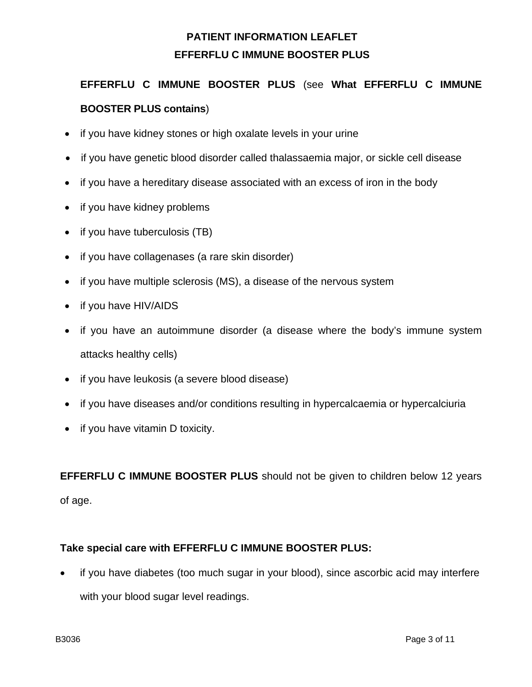# **EFFERFLU C IMMUNE BOOSTER PLUS** (see **What EFFERFLU C IMMUNE BOOSTER PLUS contains**)

- if you have kidney stones or high oxalate levels in your urine
- if you have genetic blood disorder called thalassaemia major, or sickle cell disease
- if you have a hereditary disease associated with an excess of iron in the body
- if you have kidney problems
- if you have tuberculosis (TB)
- if you have collagenases (a rare skin disorder)
- if you have multiple sclerosis (MS), a disease of the nervous system
- if you have HIV/AIDS
- if you have an autoimmune disorder (a disease where the body's immune system attacks healthy cells)
- if you have leukosis (a severe blood disease)
- if you have diseases and/or conditions resulting in hypercalcaemia or hypercalciuria
- if you have vitamin D toxicity.

**EFFERFLU C IMMUNE BOOSTER PLUS** should not be given to children below 12 years of age.

#### **Take special care with EFFERFLU C IMMUNE BOOSTER PLUS:**

if you have diabetes (too much sugar in your blood), since ascorbic acid may interfere with your blood sugar level readings.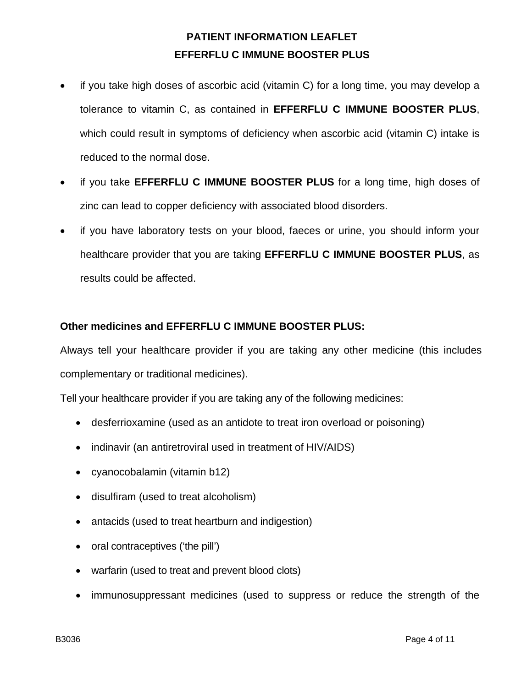- if you take high doses of ascorbic acid (vitamin C) for a long time, you may develop a tolerance to vitamin C, as contained in **EFFERFLU C IMMUNE BOOSTER PLUS**, which could result in symptoms of deficiency when ascorbic acid (vitamin C) intake is reduced to the normal dose.
- if you take **EFFERFLU C IMMUNE BOOSTER PLUS** for a long time, high doses of zinc can lead to copper deficiency with associated blood disorders.
- if you have laboratory tests on your blood, faeces or urine, you should inform your healthcare provider that you are taking **EFFERFLU C IMMUNE BOOSTER PLUS**, as results could be affected.

### **Other medicines and EFFERFLU C IMMUNE BOOSTER PLUS:**

Always tell your healthcare provider if you are taking any other medicine (this includes complementary or traditional medicines).

Tell your healthcare provider if you are taking any of the following medicines:

- desferrioxamine (used as an antidote to treat iron overload or poisoning)
- indinavir (an antiretroviral used in treatment of HIV/AIDS)
- cyanocobalamin (vitamin b12)
- disulfiram (used to treat alcoholism)
- antacids (used to treat heartburn and indigestion)
- oral contraceptives ('the pill')
- warfarin (used to treat and prevent blood clots)
- immunosuppressant medicines (used to suppress or reduce the strength of the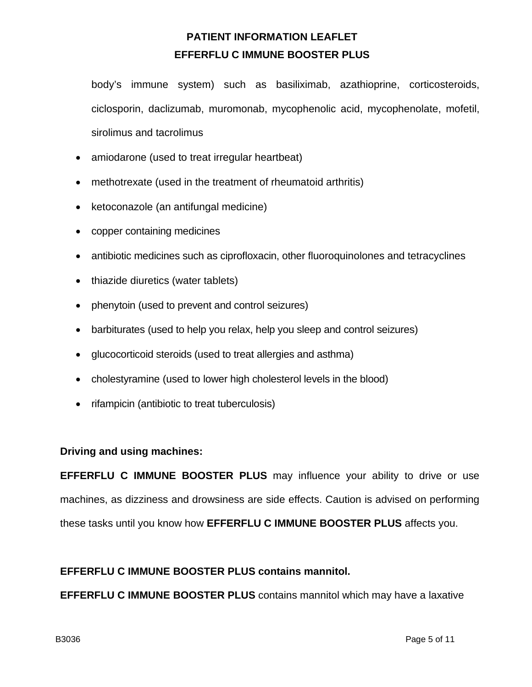body's immune system) such as basiliximab, azathioprine, corticosteroids, ciclosporin, daclizumab, muromonab, mycophenolic acid, mycophenolate, mofetil, sirolimus and tacrolimus

- amiodarone (used to treat irregular heartbeat)
- methotrexate (used in the treatment of rheumatoid arthritis)
- ketoconazole (an antifungal medicine)
- copper containing medicines
- antibiotic medicines such as ciprofloxacin, other fluoroquinolones and tetracyclines
- thiazide diuretics (water tablets)
- phenytoin (used to prevent and control seizures)
- barbiturates (used to help you relax, help you sleep and control seizures)
- glucocorticoid steroids (used to treat allergies and asthma)
- cholestyramine (used to lower high cholesterol levels in the blood)
- rifampicin (antibiotic to treat tuberculosis)

#### **Driving and using machines:**

**EFFERFLU C IMMUNE BOOSTER PLUS** may influence your ability to drive or use machines, as dizziness and drowsiness are side effects. Caution is advised on performing these tasks until you know how **EFFERFLU C IMMUNE BOOSTER PLUS** affects you.

#### **EFFERFLU C IMMUNE BOOSTER PLUS contains mannitol.**

**EFFERFLU C IMMUNE BOOSTER PLUS** contains mannitol which may have a laxative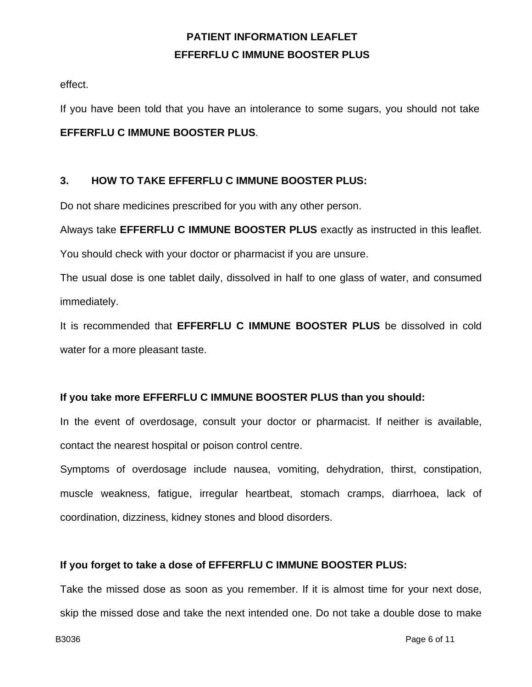effect.

If you have been told that you have an intolerance to some sugars, you should not take

### **EFFERFLU C IMMUNE BOOSTER PLUS**.

### **3. HOW TO TAKE EFFERFLU C IMMUNE BOOSTER PLUS:**

Do not share medicines prescribed for you with any other person.

Always take **EFFERFLU C IMMUNE BOOSTER PLUS** exactly as instructed in this leaflet.

You should check with your doctor or pharmacist if you are unsure.

The usual dose is one tablet daily, dissolved in half to one glass of water, and consumed immediately.

It is recommended that **EFFERFLU C IMMUNE BOOSTER PLUS** be dissolved in cold water for a more pleasant taste.

### **If you take more EFFERFLU C IMMUNE BOOSTER PLUS than you should:**

In the event of overdosage, consult your doctor or pharmacist. If neither is available, contact the nearest hospital or poison control centre.

Symptoms of overdosage include nausea, vomiting, dehydration, thirst, constipation, muscle weakness, fatigue, irregular heartbeat, stomach cramps, diarrhoea, lack of coordination, dizziness, kidney stones and blood disorders.

### **If you forget to take a dose of EFFERFLU C IMMUNE BOOSTER PLUS:**

Take the missed dose as soon as you remember. If it is almost time for your next dose, skip the missed dose and take the next intended one. Do not take a double dose to make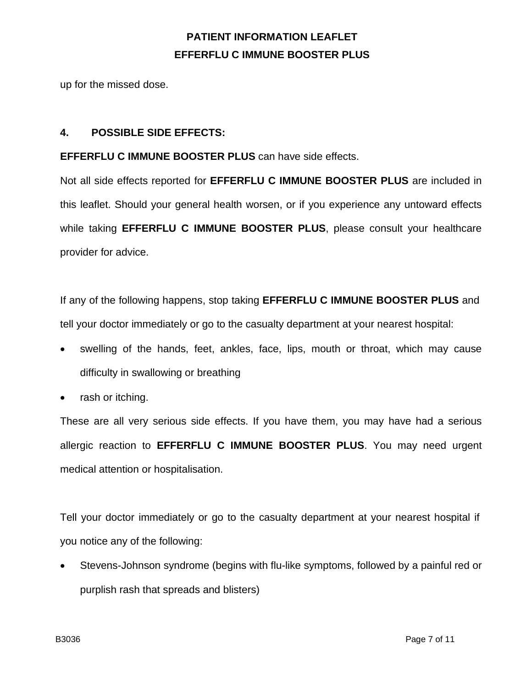up for the missed dose.

### **4. POSSIBLE SIDE EFFECTS:**

**EFFERFLU C IMMUNE BOOSTER PLUS** can have side effects.

Not all side effects reported for **EFFERFLU C IMMUNE BOOSTER PLUS** are included in this leaflet. Should your general health worsen, or if you experience any untoward effects while taking **EFFERFLU C IMMUNE BOOSTER PLUS**, please consult your healthcare provider for advice.

If any of the following happens, stop taking **EFFERFLU C IMMUNE BOOSTER PLUS** and tell your doctor immediately or go to the casualty department at your nearest hospital:

- swelling of the hands, feet, ankles, face, lips, mouth or throat, which may cause difficulty in swallowing or breathing
- rash or itching.

These are all very serious side effects. If you have them, you may have had a serious allergic reaction to **EFFERFLU C IMMUNE BOOSTER PLUS**. You may need urgent medical attention or hospitalisation.

Tell your doctor immediately or go to the casualty department at your nearest hospital if you notice any of the following:

• Stevens-Johnson syndrome (begins with flu-like symptoms, followed by a painful red or purplish rash that spreads and blisters)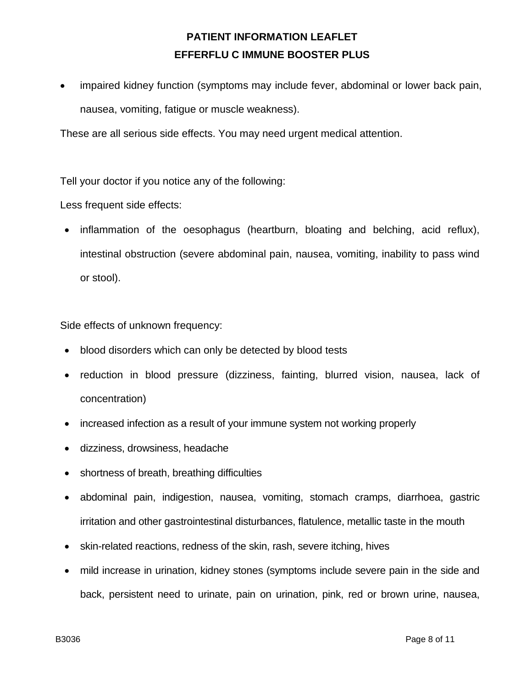impaired kidney function (symptoms may include fever, abdominal or lower back pain, nausea, vomiting, fatigue or muscle weakness).

These are all serious side effects. You may need urgent medical attention.

Tell your doctor if you notice any of the following:

Less frequent side effects:

• inflammation of the oesophagus (heartburn, bloating and belching, acid reflux), intestinal obstruction (severe abdominal pain, nausea, vomiting, inability to pass wind or stool).

Side effects of unknown frequency:

- blood disorders which can only be detected by blood tests
- reduction in blood pressure (dizziness, fainting, blurred vision, nausea, lack of concentration)
- increased infection as a result of your immune system not working properly
- dizziness, drowsiness, headache
- shortness of breath, breathing difficulties
- abdominal pain, indigestion, nausea, vomiting, stomach cramps, diarrhoea, gastric irritation and other gastrointestinal disturbances, flatulence, metallic taste in the mouth
- skin-related reactions, redness of the skin, rash, severe itching, hives
- mild increase in urination, kidney stones (symptoms include severe pain in the side and back, persistent need to urinate, pain on urination, pink, red or brown urine, nausea,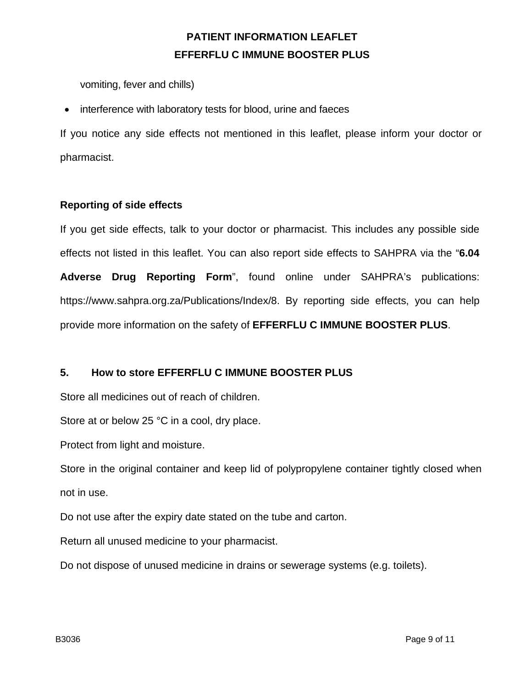vomiting, fever and chills)

• interference with laboratory tests for blood, urine and faeces

If you notice any side effects not mentioned in this leaflet, please inform your doctor or pharmacist.

### **Reporting of side effects**

If you get side effects, talk to your doctor or pharmacist. This includes any possible side effects not listed in this leaflet. You can also report side effects to SAHPRA via the "**6.04 Adverse Drug Reporting Form**", found online under SAHPRA's publications: https://www.sahpra.org.za/Publications/Index/8. By reporting side effects, you can help provide more information on the safety of **EFFERFLU C IMMUNE BOOSTER PLUS**.

#### **5. How to store EFFERFLU C IMMUNE BOOSTER PLUS**

Store all medicines out of reach of children.

Store at or below 25 °C in a cool, dry place.

Protect from light and moisture.

Store in the original container and keep lid of polypropylene container tightly closed when not in use.

Do not use after the expiry date stated on the tube and carton.

Return all unused medicine to your pharmacist.

Do not dispose of unused medicine in drains or sewerage systems (e.g. toilets).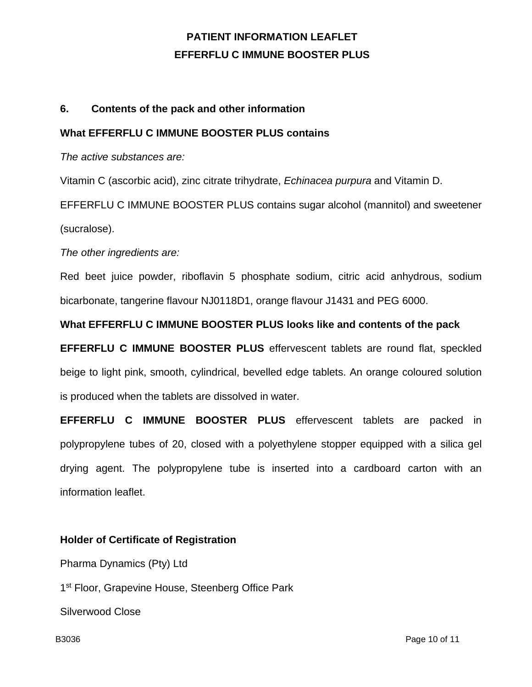### **6. Contents of the pack and other information**

#### **What EFFERFLU C IMMUNE BOOSTER PLUS contains**

*The active substances are:*

Vitamin C (ascorbic acid), zinc citrate trihydrate, *Echinacea purpura* and Vitamin D.

EFFERFLU C IMMUNE BOOSTER PLUS contains sugar alcohol (mannitol) and sweetener (sucralose).

*The other ingredients are:*

Red beet juice powder, riboflavin 5 phosphate sodium, citric acid anhydrous, sodium bicarbonate, tangerine flavour NJ0118D1, orange flavour J1431 and PEG 6000.

### **What EFFERFLU C IMMUNE BOOSTER PLUS looks like and contents of the pack**

**EFFERFLU C IMMUNE BOOSTER PLUS** effervescent tablets are round flat, speckled beige to light pink, smooth, cylindrical, bevelled edge tablets. An orange coloured solution is produced when the tablets are dissolved in water.

**EFFERFLU C IMMUNE BOOSTER PLUS** effervescent tablets are packed in polypropylene tubes of 20, closed with a polyethylene stopper equipped with a silica gel drying agent. The polypropylene tube is inserted into a cardboard carton with an information leaflet.

### **Holder of Certificate of Registration**

Pharma Dynamics (Pty) Ltd

1<sup>st</sup> Floor, Grapevine House, Steenberg Office Park

Silverwood Close